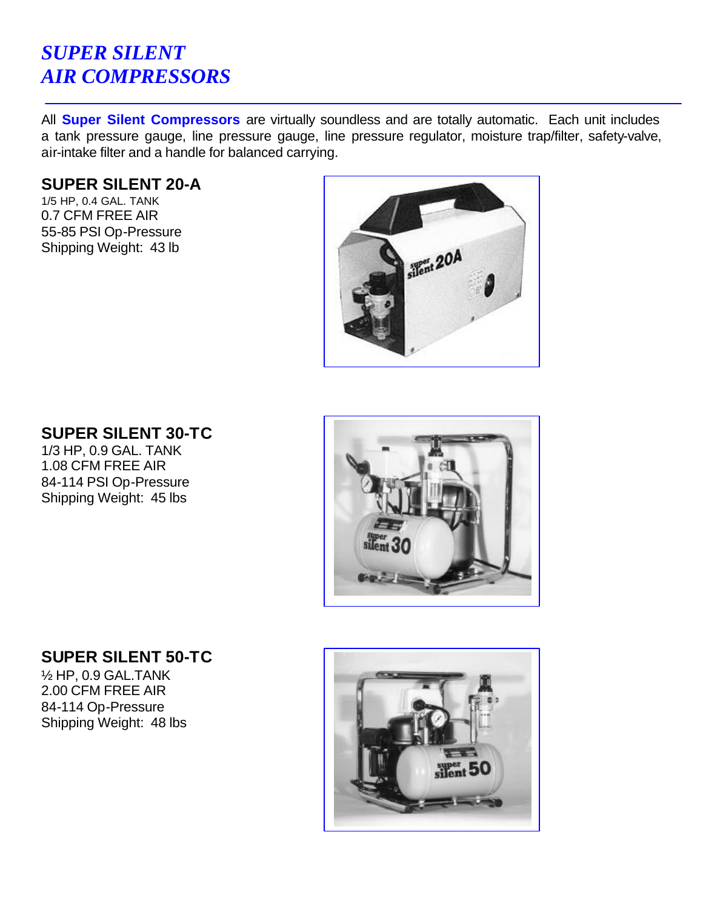# *SUPER SILENT AIR COMPRESSORS*

All **Super Silent Compressors** are virtually soundless and are totally automatic. Each unit includes a tank pressure gauge, line pressure gauge, line pressure regulator, moisture trap/filter, safety-valve, air-intake filter and a handle for balanced carrying.

#### **SUPER SILENT 20-A**

1/5 HP, 0.4 GAL. TANK 0.7 CFM FREE AIR 55-85 PSI Op-Pressure Shipping Weight: 43 lb



### **SUPER SILENT 30-TC**

1/3 HP, 0.9 GAL. TANK 1.08 CFM FREE AIR 84-114 PSI Op-Pressure Shipping Weight: 45 lbs



## **SUPER SILENT 50-TC**

½ HP, 0.9 GAL.TANK 2.00 CFM FREE AIR 84-114 Op-Pressure Shipping Weight: 48 lbs

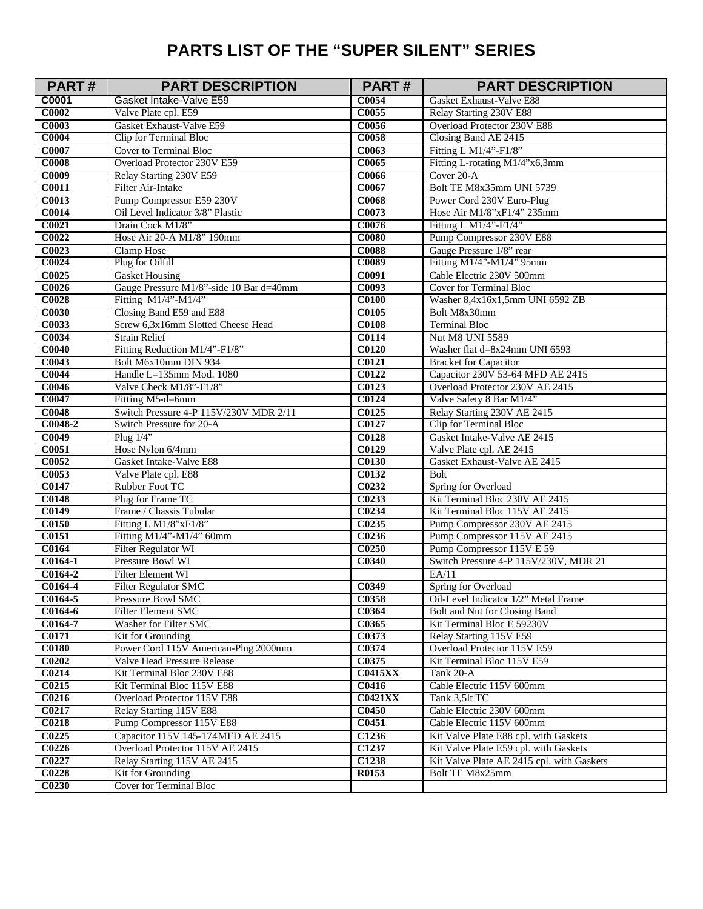## **PARTS LIST OF THE "SUPER SILENT" SERIES**

| PART#                 | <b>PART DESCRIPTION</b>                      | <b>PART#</b>      | <b>PART DESCRIPTION</b>                                          |
|-----------------------|----------------------------------------------|-------------------|------------------------------------------------------------------|
| C0001                 | Gasket Intake-Valve E59                      | C0054             | Gasket Exhaust-Valve E88                                         |
| <b>C0002</b>          | Valve Plate cpl. E59                         | C0055             | Relay Starting 230V E88                                          |
| C0003                 | Gasket Exhaust-Valve E59                     | C0056             | Overload Protector 230V E88                                      |
| <b>C0004</b>          | Clip for Terminal Bloc                       | <b>C0058</b>      | Closing Band AE 2415                                             |
| <b>C0007</b>          | <b>Cover to Terminal Bloc</b>                | C0063             | Fitting L M1/4"-F1/8"                                            |
| <b>C0008</b>          | Overload Protector 230V E59                  | C0065             | Fitting L-rotating M1/4"x6,3mm                                   |
| C0009                 | Relay Starting 230V E59                      | C0066             | Cover 20-A                                                       |
| C <sub>0011</sub>     | Filter Air-Intake                            | C0067             | Bolt TE M8x35mm UNI 5739                                         |
| C0013                 | Pump Compressor E59 230V                     | <b>C0068</b>      | Power Cord 230V Euro-Plug                                        |
| <b>C0014</b>          | Oil Level Indicator 3/8" Plastic             | C0073             | Hose Air M1/8"xF1/4" 235mm                                       |
| C0021                 | Drain Cock M1/8"                             | C0076             | Fitting L M1/4"-F1/4"                                            |
| C0022                 | Hose Air 20-A M1/8" 190mm                    | <b>C0080</b>      | Pump Compressor 230V E88                                         |
| C0023                 | Clamp Hose                                   | <b>C0088</b>      | Gauge Pressure 1/8" rear                                         |
| C0024                 | Plug for Oilfill                             | C0089             | Fitting M1/4"-M1/4" 95mm                                         |
| C0025                 | <b>Gasket Housing</b>                        | C0091             | Cable Electric 230V 500mm                                        |
| C0026                 | Gauge Pressure M1/8"-side 10 Bar d=40mm      | C0093             | Cover for Terminal Bloc                                          |
| <b>C0028</b>          | Fitting M1/4"-M1/4"                          | <b>C0100</b>      | Washer 8,4x16x1,5mm UNI 6592 ZB                                  |
| <b>C0030</b>          | Closing Band E59 and E88                     | C0105             | Bolt M8x30mm                                                     |
| C0033                 | Screw 6,3x16mm Slotted Cheese Head           | <b>C0108</b>      | <b>Terminal Bloc</b>                                             |
| C0034                 | <b>Strain Relief</b>                         | C0114             | <b>Nut M8 UNI 5589</b>                                           |
| <b>C0040</b>          | Fitting Reduction M1/4"-F1/8"                | <b>C0120</b>      | Washer flat d=8x24mm UNI 6593                                    |
| C0043                 | Bolt M6x10mm DIN 934                         | C0121             | <b>Bracket for Capacitor</b>                                     |
| <b>C0044</b>          | Handle L=135mm Mod. 1080                     | C0122             | Capacitor 230V 53-64 MFD AE 2415                                 |
| <b>C0046</b>          | Valve Check M1/8"-F1/8"                      | C0123             | Overload Protector 230V AE 2415                                  |
| C0047                 | Fitting M5-d=6mm                             | C0124             | Valve Safety 8 Bar M1/4"                                         |
| <b>C0048</b>          | Switch Pressure 4-P 115V/230V MDR 2/11       | C0125             | Relay Starting 230V AE 2415                                      |
| C0048-2               | Switch Pressure for 20-A                     | C0127             | <b>Clip for Terminal Bloc</b>                                    |
| C0049                 | Plug $1/4$ "                                 | <b>C0128</b>      | Gasket Intake-Valve AE 2415                                      |
| C0051                 | Hose Nylon 6/4mm                             | C0129             | Valve Plate cpl. AE 2415                                         |
| C0052                 | Gasket Intake-Valve E88                      | <b>C0130</b>      | Gasket Exhaust-Valve AE 2415                                     |
| C0053<br>C0147        | Valve Plate cpl. E88                         | C0132<br>C0232    | Bolt                                                             |
|                       | Rubber Foot TC                               |                   | Spring for Overload                                              |
| <b>C0148</b><br>C0149 | Plug for Frame TC<br>Frame / Chassis Tubular | C0233<br>C0234    | Kit Terminal Bloc 230V AE 2415<br>Kit Terminal Bloc 115V AE 2415 |
| <b>C0150</b>          | Fitting L M1/8"xF1/8"                        | C0235             | Pump Compressor 230V AE 2415                                     |
| C0151                 | Fitting M1/4"-M1/4" 60mm                     | C0236             | Pump Compressor 115V AE 2415                                     |
| C0164                 | <b>Filter Regulator WI</b>                   | C <sub>0250</sub> | Pump Compressor 115V E 59                                        |
| $C0164-1$             | Pressure Bowl WI                             | C0340             | Switch Pressure 4-P 115V/230V, MDR 21                            |
| C0164-2               | <b>Filter Element WI</b>                     |                   | EA/11                                                            |
| C0164-4               | <b>Filter Regulator SMC</b>                  | C0349             | Spring for Overload                                              |
| C0164-5               | Pressure Bowl SMC                            | C0358             | Oil-Level Indicator 1/2" Metal Frame                             |
| C0164-6               | Filter Element SMC                           | C0364             | Bolt and Nut for Closing Band                                    |
| C0164-7               | Washer for Filter SMC                        | C0365             | Kit Terminal Bloc E 59230V                                       |
| C0171                 | Kit for Grounding                            | C0373             | Relay Starting 115V E59                                          |
| <b>C0180</b>          | Power Cord 115V American-Plug 2000mm         | C0374             | Overload Protector 115V E59                                      |
| C0202                 | Valve Head Pressure Release                  | C0375             | Kit Terminal Bloc 115V E59                                       |
| C0214                 | Kit Terminal Bloc 230V E88                   | <b>C0415XX</b>    | Tank 20-A                                                        |
| C0215                 | Kit Terminal Bloc 115V E88                   | C0416             | Cable Electric 115V 600mm                                        |
| C0216                 | Overload Protector 115V E88                  | <b>C0421XX</b>    | Tank 3,5lt TC                                                    |
| C0217                 | Relay Starting 115V E88                      | C <sub>0450</sub> | Cable Electric 230V 600mm                                        |
| C0218                 | Pump Compressor 115V E88                     | C <sub>0451</sub> | Cable Electric 115V 600mm                                        |
| C0225                 | Capacitor 115V 145-174MFD AE 2415            | C1236             | Kit Valve Plate E88 cpl. with Gaskets                            |
| C0226                 | Overload Protector 115V AE 2415              | C1237             | Kit Valve Plate E59 cpl. with Gaskets                            |
| C0227                 | Relay Starting 115V AE 2415                  | C <sub>1238</sub> | Kit Valve Plate AE 2415 cpl. with Gaskets                        |
| C0228                 | Kit for Grounding                            | R0153             | Bolt TE M8x25mm                                                  |
| C0230                 | <b>Cover for Terminal Bloc</b>               |                   |                                                                  |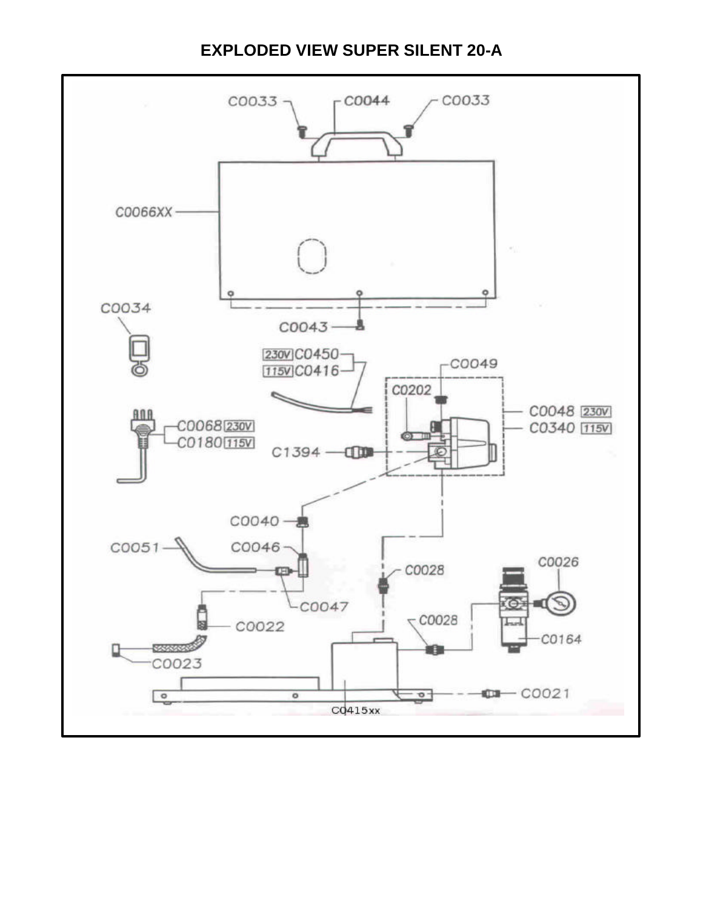#### **EXPLODED VIEW SUPER SILENT 20-A**

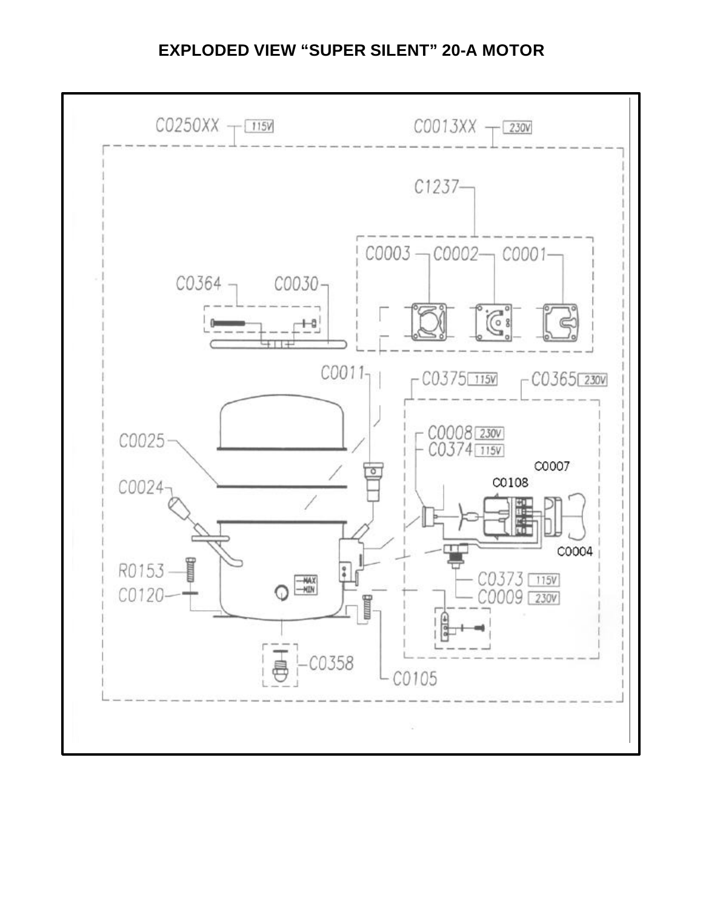#### **EXPLODED VIEW "SUPER SILENT" 20-A MOTOR**

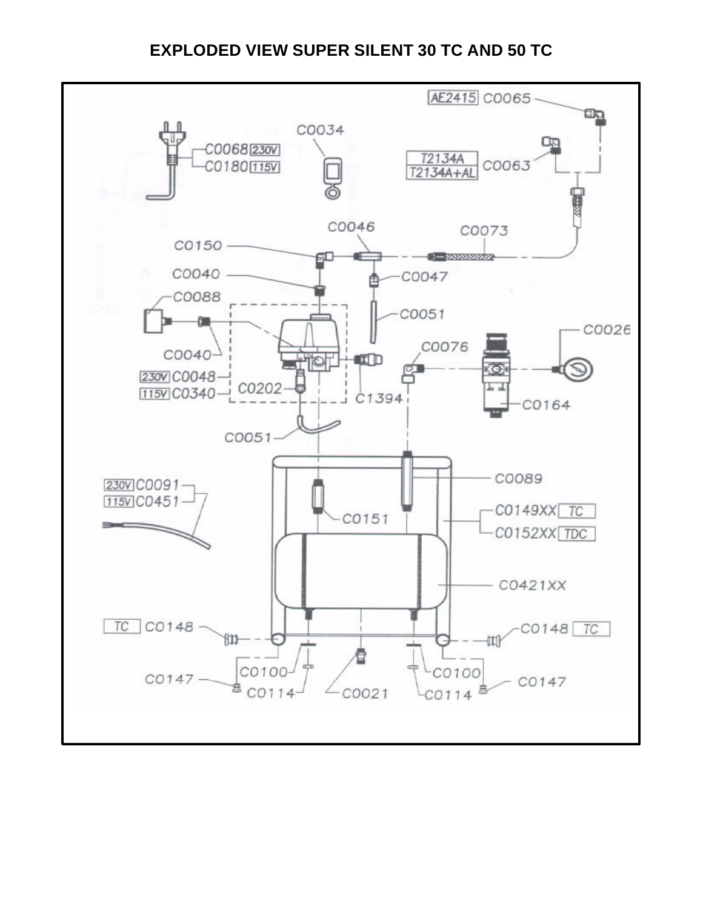#### **EXPLODED VIEW SUPER SILENT 30 TC AND 50 TC**

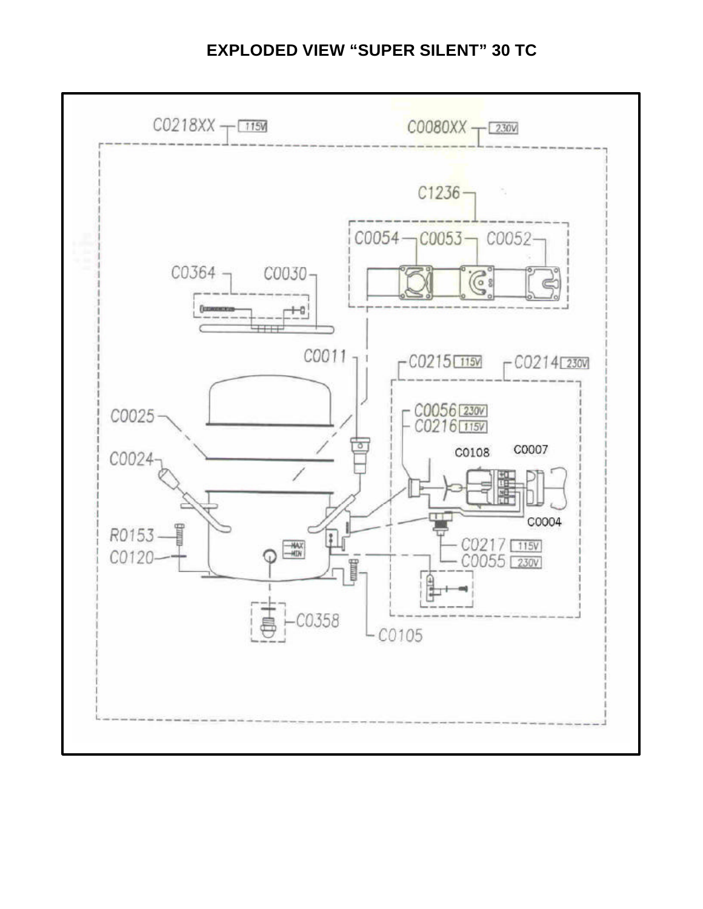#### **EXPLODED VIEW "SUPER SILENT" 30 TC**